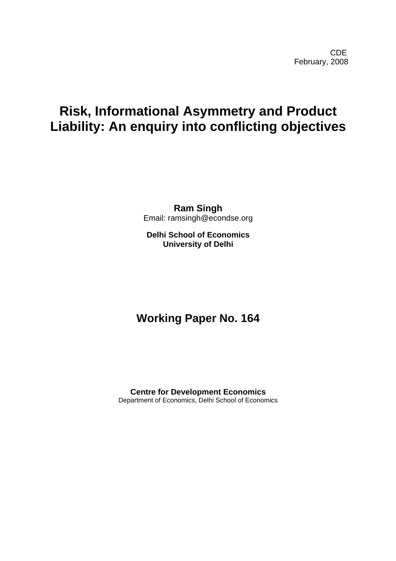# **Risk, Informational Asymmetry and Product Liability: An enquiry into conflicting objectives**

**Ram Singh**  Email: ramsingh@econdse.org

**Delhi School of Economics University of Delhi** 

## **Working Paper No. 164**

**Centre for Development Economics**  Department of Economics, Delhi School of Economics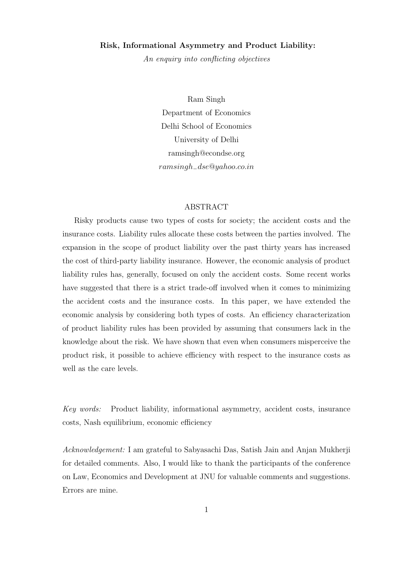#### Risk, Informational Asymmetry and Product Liability:

An enquiry into conflicting objectives

Ram Singh Department of Economics Delhi School of Economics University of Delhi ramsingh@econdse.org ramsingh−dse@yahoo.co.in

#### ABSTRACT

Risky products cause two types of costs for society; the accident costs and the insurance costs. Liability rules allocate these costs between the parties involved. The expansion in the scope of product liability over the past thirty years has increased the cost of third-party liability insurance. However, the economic analysis of product liability rules has, generally, focused on only the accident costs. Some recent works have suggested that there is a strict trade-off involved when it comes to minimizing the accident costs and the insurance costs. In this paper, we have extended the economic analysis by considering both types of costs. An efficiency characterization of product liability rules has been provided by assuming that consumers lack in the knowledge about the risk. We have shown that even when consumers misperceive the product risk, it possible to achieve efficiency with respect to the insurance costs as well as the care levels.

Key words: Product liability, informational asymmetry, accident costs, insurance costs, Nash equilibrium, economic efficiency

Acknowledgement: I am grateful to Sabyasachi Das, Satish Jain and Anjan Mukherji for detailed comments. Also, I would like to thank the participants of the conference on Law, Economics and Development at JNU for valuable comments and suggestions. Errors are mine.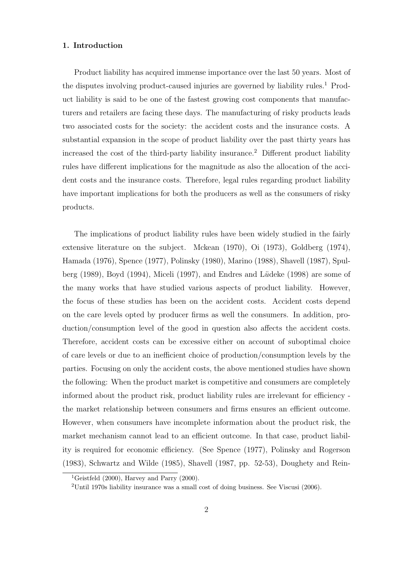#### 1. Introduction

Product liability has acquired immense importance over the last 50 years. Most of the disputes involving product-caused injuries are governed by liability rules.<sup>1</sup> Product liability is said to be one of the fastest growing cost components that manufacturers and retailers are facing these days. The manufacturing of risky products leads two associated costs for the society: the accident costs and the insurance costs. A substantial expansion in the scope of product liability over the past thirty years has increased the cost of the third-party liability insurance.<sup>2</sup> Different product liability rules have different implications for the magnitude as also the allocation of the accident costs and the insurance costs. Therefore, legal rules regarding product liability have important implications for both the producers as well as the consumers of risky products.

The implications of product liability rules have been widely studied in the fairly extensive literature on the subject. Mckean (1970), Oi (1973), Goldberg (1974), Hamada (1976), Spence (1977), Polinsky (1980), Marino (1988), Shavell (1987), Spulberg (1989), Boyd (1994), Miceli (1997), and Endres and Lüdeke (1998) are some of the many works that have studied various aspects of product liability. However, the focus of these studies has been on the accident costs. Accident costs depend on the care levels opted by producer firms as well the consumers. In addition, production/consumption level of the good in question also affects the accident costs. Therefore, accident costs can be excessive either on account of suboptimal choice of care levels or due to an inefficient choice of production/consumption levels by the parties. Focusing on only the accident costs, the above mentioned studies have shown the following: When the product market is competitive and consumers are completely informed about the product risk, product liability rules are irrelevant for efficiency the market relationship between consumers and firms ensures an efficient outcome. However, when consumers have incomplete information about the product risk, the market mechanism cannot lead to an efficient outcome. In that case, product liability is required for economic efficiency. (See Spence (1977), Polinsky and Rogerson (1983), Schwartz and Wilde (1985), Shavell (1987, pp. 52-53), Doughety and Rein-

<sup>&</sup>lt;sup>1</sup>Geistfeld (2000), Harvey and Parry (2000).

<sup>2</sup>Until 1970s liability insurance was a small cost of doing business. See Viscusi (2006).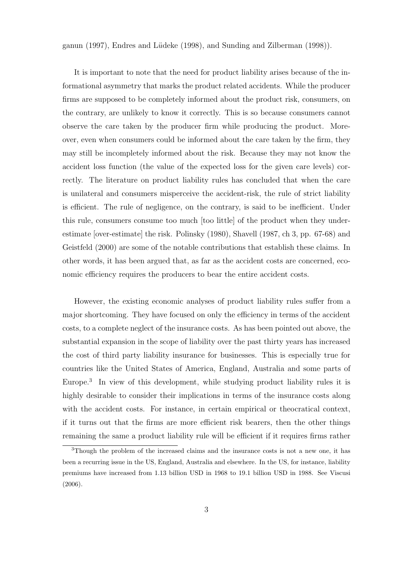ganun (1997), Endres and L¨udeke (1998), and Sunding and Zilberman (1998)).

It is important to note that the need for product liability arises because of the informational asymmetry that marks the product related accidents. While the producer firms are supposed to be completely informed about the product risk, consumers, on the contrary, are unlikely to know it correctly. This is so because consumers cannot observe the care taken by the producer firm while producing the product. Moreover, even when consumers could be informed about the care taken by the firm, they may still be incompletely informed about the risk. Because they may not know the accident loss function (the value of the expected loss for the given care levels) correctly. The literature on product liability rules has concluded that when the care is unilateral and consumers misperceive the accident-risk, the rule of strict liability is efficient. The rule of negligence, on the contrary, is said to be inefficient. Under this rule, consumers consume too much [too little] of the product when they underestimate [over-estimate] the risk. Polinsky (1980), Shavell (1987, ch 3, pp. 67-68) and Geistfeld (2000) are some of the notable contributions that establish these claims. In other words, it has been argued that, as far as the accident costs are concerned, economic efficiency requires the producers to bear the entire accident costs.

However, the existing economic analyses of product liability rules suffer from a major shortcoming. They have focused on only the efficiency in terms of the accident costs, to a complete neglect of the insurance costs. As has been pointed out above, the substantial expansion in the scope of liability over the past thirty years has increased the cost of third party liability insurance for businesses. This is especially true for countries like the United States of America, England, Australia and some parts of Europe.<sup>3</sup> In view of this development, while studying product liability rules it is highly desirable to consider their implications in terms of the insurance costs along with the accident costs. For instance, in certain empirical or theocratical context, if it turns out that the firms are more efficient risk bearers, then the other things remaining the same a product liability rule will be efficient if it requires firms rather

<sup>3</sup>Though the problem of the increased claims and the insurance costs is not a new one, it has been a recurring issue in the US, England, Australia and elsewhere. In the US, for instance, liability premiums have increased from 1.13 billion USD in 1968 to 19.1 billion USD in 1988. See Viscusi (2006).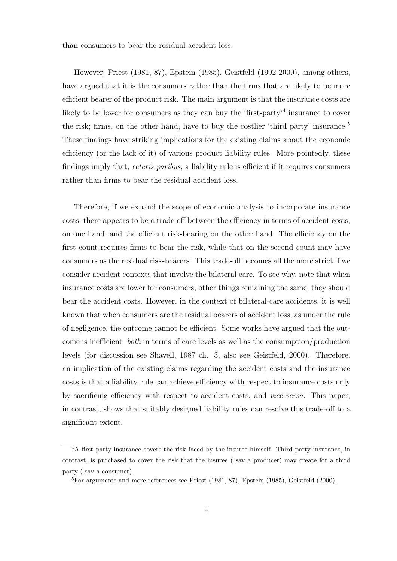than consumers to bear the residual accident loss.

However, Priest (1981, 87), Epstein (1985), Geistfeld (1992 2000), among others, have argued that it is the consumers rather than the firms that are likely to be more efficient bearer of the product risk. The main argument is that the insurance costs are likely to be lower for consumers as they can buy the 'first-party'<sup>4</sup> insurance to cover the risk; firms, on the other hand, have to buy the costlier 'third party' insurance.<sup>5</sup> These findings have striking implications for the existing claims about the economic efficiency (or the lack of it) of various product liability rules. More pointedly, these findings imply that, *ceteris paribus*, a liability rule is efficient if it requires consumers rather than firms to bear the residual accident loss.

Therefore, if we expand the scope of economic analysis to incorporate insurance costs, there appears to be a trade-off between the efficiency in terms of accident costs, on one hand, and the efficient risk-bearing on the other hand. The efficiency on the first count requires firms to bear the risk, while that on the second count may have consumers as the residual risk-bearers. This trade-off becomes all the more strict if we consider accident contexts that involve the bilateral care. To see why, note that when insurance costs are lower for consumers, other things remaining the same, they should bear the accident costs. However, in the context of bilateral-care accidents, it is well known that when consumers are the residual bearers of accident loss, as under the rule of negligence, the outcome cannot be efficient. Some works have argued that the outcome is inefficient both in terms of care levels as well as the consumption/production levels (for discussion see Shavell, 1987 ch. 3, also see Geistfeld, 2000). Therefore, an implication of the existing claims regarding the accident costs and the insurance costs is that a liability rule can achieve efficiency with respect to insurance costs only by sacrificing efficiency with respect to accident costs, and vice-versa. This paper, in contrast, shows that suitably designed liability rules can resolve this trade-off to a significant extent.

<sup>&</sup>lt;sup>4</sup>A first party insurance covers the risk faced by the insuree himself. Third party insurance, in contrast, is purchased to cover the risk that the insuree ( say a producer) may create for a third party ( say a consumer).

 ${}^{5}$ For arguments and more references see Priest (1981, 87), Epstein (1985), Geistfeld (2000).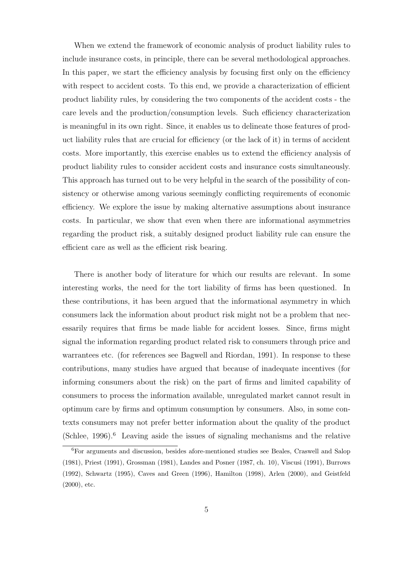When we extend the framework of economic analysis of product liability rules to include insurance costs, in principle, there can be several methodological approaches. In this paper, we start the efficiency analysis by focusing first only on the efficiency with respect to accident costs. To this end, we provide a characterization of efficient product liability rules, by considering the two components of the accident costs - the care levels and the production/consumption levels. Such efficiency characterization is meaningful in its own right. Since, it enables us to delineate those features of product liability rules that are crucial for efficiency (or the lack of it) in terms of accident costs. More importantly, this exercise enables us to extend the efficiency analysis of product liability rules to consider accident costs and insurance costs simultaneously. This approach has turned out to be very helpful in the search of the possibility of consistency or otherwise among various seemingly conflicting requirements of economic efficiency. We explore the issue by making alternative assumptions about insurance costs. In particular, we show that even when there are informational asymmetries regarding the product risk, a suitably designed product liability rule can ensure the efficient care as well as the efficient risk bearing.

There is another body of literature for which our results are relevant. In some interesting works, the need for the tort liability of firms has been questioned. In these contributions, it has been argued that the informational asymmetry in which consumers lack the information about product risk might not be a problem that necessarily requires that firms be made liable for accident losses. Since, firms might signal the information regarding product related risk to consumers through price and warrantees etc. (for references see Bagwell and Riordan, 1991). In response to these contributions, many studies have argued that because of inadequate incentives (for informing consumers about the risk) on the part of firms and limited capability of consumers to process the information available, unregulated market cannot result in optimum care by firms and optimum consumption by consumers. Also, in some contexts consumers may not prefer better information about the quality of the product  $(Schlee, 1996).$ <sup>6</sup> Leaving aside the issues of signaling mechanisms and the relative

<sup>6</sup>For arguments and discussion, besides afore-mentioned studies see Beales, Craswell and Salop (1981), Priest (1991), Grossman (1981), Landes and Posner (1987, ch. 10), Viscusi (1991), Burrows (1992), Schwartz (1995), Caves and Green (1996), Hamilton (1998), Arlen (2000), and Geistfeld (2000), etc.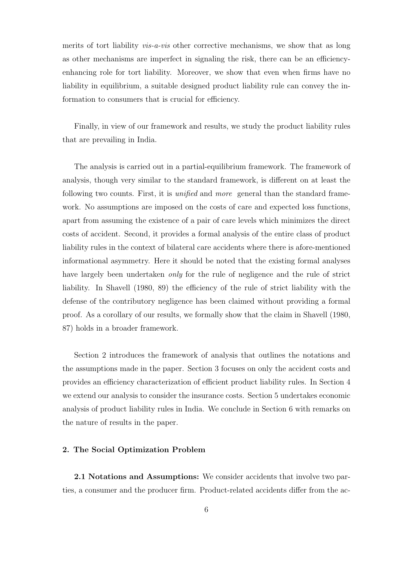merits of tort liability *vis-a-vis* other corrective mechanisms, we show that as long as other mechanisms are imperfect in signaling the risk, there can be an efficiencyenhancing role for tort liability. Moreover, we show that even when firms have no liability in equilibrium, a suitable designed product liability rule can convey the information to consumers that is crucial for efficiency.

Finally, in view of our framework and results, we study the product liability rules that are prevailing in India.

The analysis is carried out in a partial-equilibrium framework. The framework of analysis, though very similar to the standard framework, is different on at least the following two counts. First, it is unified and more general than the standard framework. No assumptions are imposed on the costs of care and expected loss functions, apart from assuming the existence of a pair of care levels which minimizes the direct costs of accident. Second, it provides a formal analysis of the entire class of product liability rules in the context of bilateral care accidents where there is afore-mentioned informational asymmetry. Here it should be noted that the existing formal analyses have largely been undertaken *only* for the rule of negligence and the rule of strict liability. In Shavell (1980, 89) the efficiency of the rule of strict liability with the defense of the contributory negligence has been claimed without providing a formal proof. As a corollary of our results, we formally show that the claim in Shavell (1980, 87) holds in a broader framework.

Section 2 introduces the framework of analysis that outlines the notations and the assumptions made in the paper. Section 3 focuses on only the accident costs and provides an efficiency characterization of efficient product liability rules. In Section 4 we extend our analysis to consider the insurance costs. Section 5 undertakes economic analysis of product liability rules in India. We conclude in Section 6 with remarks on the nature of results in the paper.

#### 2. The Social Optimization Problem

2.1 Notations and Assumptions: We consider accidents that involve two parties, a consumer and the producer firm. Product-related accidents differ from the ac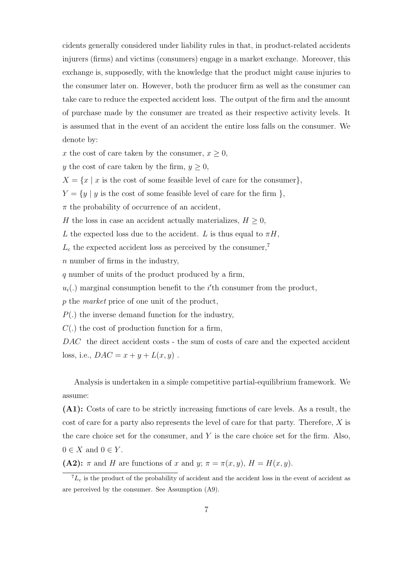cidents generally considered under liability rules in that, in product-related accidents injurers (firms) and victims (consumers) engage in a market exchange. Moreover, this exchange is, supposedly, with the knowledge that the product might cause injuries to the consumer later on. However, both the producer firm as well as the consumer can take care to reduce the expected accident loss. The output of the firm and the amount of purchase made by the consumer are treated as their respective activity levels. It is assumed that in the event of an accident the entire loss falls on the consumer. We denote by:

x the cost of care taken by the consumer,  $x \geq 0$ ,

y the cost of care taken by the firm,  $y \ge 0$ ,

 $X = \{x \mid x$  is the cost of some feasible level of care for the consumer},

 $Y = \{y \mid y \text{ is the cost of some feasible level of care for the firm } \},\$ 

 $\pi$  the probability of occurrence of an accident,

H the loss in case an accident actually materializes,  $H \geq 0$ ,

L the expected loss due to the accident. L is thus equal to  $\pi H$ ,

 $L_c$  the expected accident loss as perceived by the consumer,<sup>7</sup>

n number of firms in the industry,

q number of units of the product produced by a firm,

 $u_i(.)$  marginal consumption benefit to the i'th consumer from the product,

p the market price of one unit of the product,

 $P(.)$  the inverse demand function for the industry,

 $C(.)$  the cost of production function for a firm,

DAC the direct accident costs - the sum of costs of care and the expected accident loss, i.e.,  $DAC = x + y + L(x, y)$ .

Analysis is undertaken in a simple competitive partial-equilibrium framework. We assume:

(A1): Costs of care to be strictly increasing functions of care levels. As a result, the cost of care for a party also represents the level of care for that party. Therefore, X is the care choice set for the consumer, and  $Y$  is the care choice set for the firm. Also,  $0 \in X$  and  $0 \in Y$ .

(A2):  $\pi$  and H are functions of x and y;  $\pi = \pi(x, y)$ ,  $H = H(x, y)$ .

 ${}^{7}L_c$  is the product of the probability of accident and the accident loss in the event of accident as are perceived by the consumer. See Assumption (A9).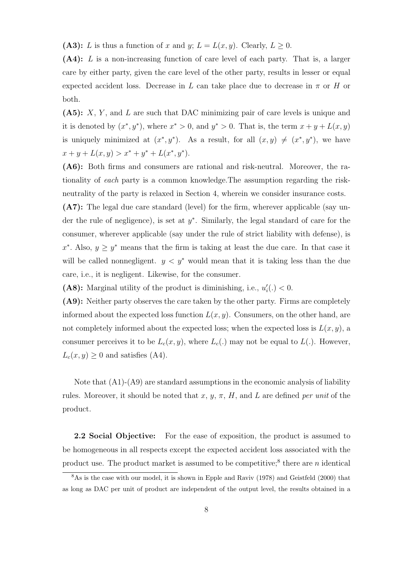(A3): L is thus a function of x and y;  $L = L(x, y)$ . Clearly,  $L \ge 0$ .

(A4): L is a non-increasing function of care level of each party. That is, a larger care by either party, given the care level of the other party, results in lesser or equal expected accident loss. Decrease in L can take place due to decrease in  $\pi$  or H or both.

(A5): X, Y , and L are such that DAC minimizing pair of care levels is unique and it is denoted by  $(x^*, y^*)$ , where  $x^* > 0$ , and  $y^* > 0$ . That is, the term  $x + y + L(x, y)$ is uniquely minimized at  $(x^*, y^*)$ . As a result, for all  $(x, y) \neq (x^*, y^*)$ , we have  $x + y + L(x, y) > x^* + y^* + L(x^*, y^*).$ 

(A6): Both firms and consumers are rational and risk-neutral. Moreover, the rationality of each party is a common knowledge.The assumption regarding the riskneutrality of the party is relaxed in Section 4, wherein we consider insurance costs.

(A7): The legal due care standard (level) for the firm, wherever applicable (say under the rule of negligence), is set at  $y^*$ . Similarly, the legal standard of care for the consumer, wherever applicable (say under the rule of strict liability with defense), is  $x^*$ . Also,  $y \geq y^*$  means that the firm is taking at least the due care. In that case it will be called nonnegligent.  $y < y^*$  would mean that it is taking less than the due care, i.e., it is negligent. Likewise, for the consumer.

(A8): Marginal utility of the product is diminishing, i.e.,  $u'_{i}(.) < 0$ .

(A9): Neither party observes the care taken by the other party. Firms are completely informed about the expected loss function  $L(x, y)$ . Consumers, on the other hand, are not completely informed about the expected loss; when the expected loss is  $L(x, y)$ , a consumer perceives it to be  $L_c(x, y)$ , where  $L_c(.)$  may not be equal to  $L(.)$ . However,  $L_c(x, y) \geq 0$  and satisfies (A4).

Note that (A1)-(A9) are standard assumptions in the economic analysis of liability rules. Moreover, it should be noted that  $x, y, \pi, H$ , and L are defined per unit of the product.

2.2 Social Objective: For the ease of exposition, the product is assumed to be homogeneous in all respects except the expected accident loss associated with the product use. The product market is assumed to be competitive;<sup>8</sup> there are  $n$  identical

<sup>&</sup>lt;sup>8</sup>As is the case with our model, it is shown in Epple and Raviv (1978) and Geistfeld (2000) that as long as DAC per unit of product are independent of the output level, the results obtained in a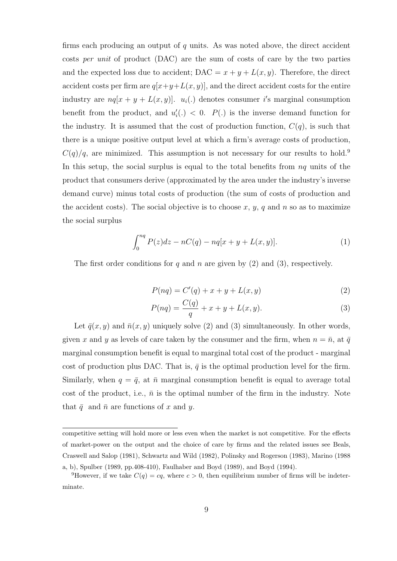firms each producing an output of  $q$  units. As was noted above, the direct accident costs per unit of product (DAC) are the sum of costs of care by the two parties and the expected loss due to accident;  $\text{DAC} = x + y + L(x, y)$ . Therefore, the direct accident costs per firm are  $q[x+y+L(x, y)]$ , and the direct accident costs for the entire industry are  $nq[x + y + L(x, y)]$ .  $u_i(.)$  denotes consumer i's marginal consumption benefit from the product, and  $u'_{i}(.) < 0$ .  $P(.)$  is the inverse demand function for the industry. It is assumed that the cost of production function,  $C(q)$ , is such that there is a unique positive output level at which a firm's average costs of production,  $C(q)/q$ , are minimized. This assumption is not necessary for our results to hold.<sup>9</sup> In this setup, the social surplus is equal to the total benefits from  $nq$  units of the product that consumers derive (approximated by the area under the industry's inverse demand curve) minus total costs of production (the sum of costs of production and the accident costs). The social objective is to choose  $x, y, q$  and n so as to maximize the social surplus

$$
\int_0^{nq} P(z)dz - nC(q) - nq[x + y + L(x, y)].
$$
 (1)

The first order conditions for q and n are given by  $(2)$  and  $(3)$ , respectively.

$$
P(nq) = C'(q) + x + y + L(x, y)
$$
\n(2)

$$
P(nq) = \frac{C(q)}{q} + x + y + L(x, y).
$$
 (3)

Let  $\bar{q}(x, y)$  and  $\bar{n}(x, y)$  uniquely solve (2) and (3) simultaneously. In other words, given x and y as levels of care taken by the consumer and the firm, when  $n = \bar{n}$ , at  $\bar{q}$ marginal consumption benefit is equal to marginal total cost of the product - marginal cost of production plus DAC. That is,  $\bar{q}$  is the optimal production level for the firm. Similarly, when  $q = \bar{q}$ , at  $\bar{n}$  marginal consumption benefit is equal to average total cost of the product, i.e.,  $\bar{n}$  is the optimal number of the firm in the industry. Note that  $\bar{q}$  and  $\bar{n}$  are functions of x and y.

competitive setting will hold more or less even when the market is not competitive. For the effects of market-power on the output and the choice of care by firms and the related issues see Beals, Craswell and Salop (1981), Schwartz and Wild (1982), Polinsky and Rogerson (1983), Marino (1988 a, b), Spulber (1989, pp.408-410), Faulhaber and Boyd (1989), and Boyd (1994).

<sup>&</sup>lt;sup>9</sup>However, if we take  $C(q) = cq$ , where  $c > 0$ , then equilibrium number of firms will be indeterminate.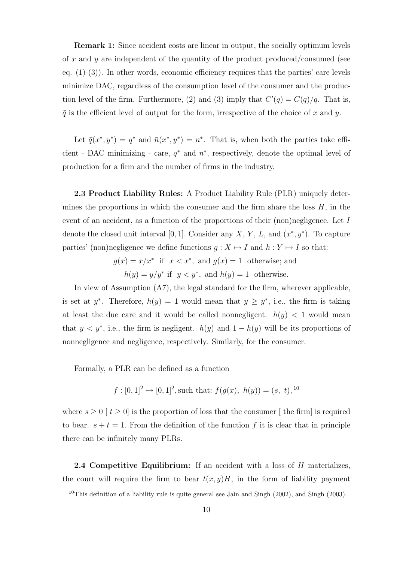Remark 1: Since accident costs are linear in output, the socially optimum levels of x and y are independent of the quantity of the product produced/consumed (see eq.  $(1)-(3)$ ). In other words, economic efficiency requires that the parties' care levels minimize DAC, regardless of the consumption level of the consumer and the production level of the firm. Furthermore, (2) and (3) imply that  $C'(q) = C(q)/q$ . That is,  $\bar{q}$  is the efficient level of output for the form, irrespective of the choice of x and y.

Let  $\bar{q}(x^*, y^*) = q^*$  and  $\bar{n}(x^*, y^*) = n^*$ . That is, when both the parties take efficient - DAC minimizing - care,  $q^*$  and  $n^*$ , respectively, denote the optimal level of production for a firm and the number of firms in the industry.

2.3 Product Liability Rules: A Product Liability Rule (PLR) uniquely determines the proportions in which the consumer and the firm share the loss  $H$ , in the event of an accident, as a function of the proportions of their (non)negligence. Let I denote the closed unit interval [0, 1]. Consider any X, Y, L, and  $(x^*, y^*)$ . To capture parties' (non)negligence we define functions  $g : X \mapsto I$  and  $h : Y \mapsto I$  so that:

> $g(x) = x/x^*$  if  $x < x^*$ , and  $g(x) = 1$  otherwise; and  $h(y) = y/y^*$  if  $y < y^*$ , and  $h(y) = 1$  otherwise.

In view of Assumption (A7), the legal standard for the firm, wherever applicable, is set at y<sup>\*</sup>. Therefore,  $h(y) = 1$  would mean that  $y \geq y^*$ , i.e., the firm is taking at least the due care and it would be called nonnegligent.  $h(y) < 1$  would mean that  $y < y^*$ , i.e., the firm is negligent.  $h(y)$  and  $1 - h(y)$  will be its proportions of nonnegligence and negligence, respectively. Similarly, for the consumer.

Formally, a PLR can be defined as a function

 $f: [0,1]^2 \mapsto [0,1]^2$ , such that:  $f(g(x), h(y)) = (s, t),$ <sup>10</sup>

where  $s \geq 0$  [ $t \geq 0$ ] is the proportion of loss that the consumer [the firm] is required to bear.  $s + t = 1$ . From the definition of the function f it is clear that in principle there can be infinitely many PLRs.

**2.4 Competitive Equilibrium:** If an accident with a loss of H materializes, the court will require the firm to bear  $t(x, y)H$ , in the form of liability payment

 $10$ This definition of a liability rule is quite general see Jain and Singh (2002), and Singh (2003).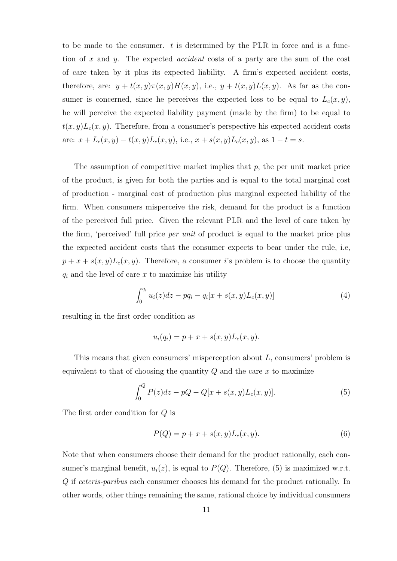to be made to the consumer.  $t$  is determined by the PLR in force and is a function of  $x$  and  $y$ . The expected *accident* costs of a party are the sum of the cost of care taken by it plus its expected liability. A firm's expected accident costs, therefore, are:  $y + t(x, y)\pi(x, y)H(x, y)$ , i.e.,  $y + t(x, y)L(x, y)$ . As far as the consumer is concerned, since he perceives the expected loss to be equal to  $L_c(x, y)$ , he will perceive the expected liability payment (made by the firm) to be equal to  $t(x, y)L_c(x, y)$ . Therefore, from a consumer's perspective his expected accident costs are:  $x + L_c(x, y) - t(x, y)L_c(x, y)$ , i.e.,  $x + s(x, y)L_c(x, y)$ , as  $1 - t = s$ .

The assumption of competitive market implies that  $p$ , the per unit market price of the product, is given for both the parties and is equal to the total marginal cost of production - marginal cost of production plus marginal expected liability of the firm. When consumers misperceive the risk, demand for the product is a function of the perceived full price. Given the relevant PLR and the level of care taken by the firm, 'perceived' full price per unit of product is equal to the market price plus the expected accident costs that the consumer expects to bear under the rule, i.e,  $p + x + s(x, y)L_c(x, y)$ . Therefore, a consumer i's problem is to choose the quantity  $q_i$  and the level of care x to maximize his utility

$$
\int_0^{q_i} u_i(z)dz - pq_i - q_i[x + s(x, y)L_c(x, y)] \tag{4}
$$

resulting in the first order condition as

$$
u_i(q_i) = p + x + s(x, y)L_c(x, y).
$$

This means that given consumers' misperception about L, consumers' problem is equivalent to that of choosing the quantity  $Q$  and the care  $x$  to maximize

$$
\int_{0}^{Q} P(z)dz - pQ - Q[x + s(x, y)L_{c}(x, y)].
$$
\n(5)

The first order condition for Q is

$$
P(Q) = p + x + s(x, y)L_c(x, y).
$$
 (6)

Note that when consumers choose their demand for the product rationally, each consumer's marginal benefit,  $u_i(z)$ , is equal to  $P(Q)$ . Therefore, (5) is maximized w.r.t. Q if ceteris-paribus each consumer chooses his demand for the product rationally. In other words, other things remaining the same, rational choice by individual consumers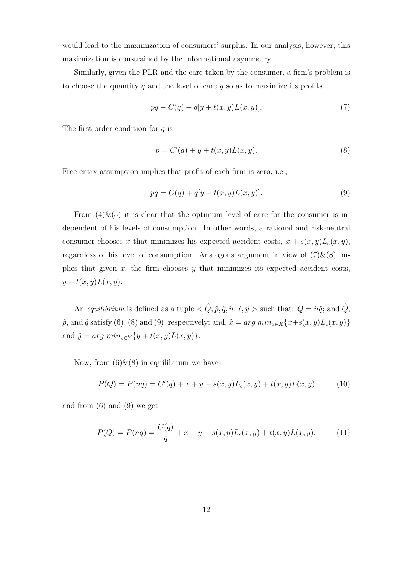would lead to the maximization of consumers' surplus. In our analysis, however, this maximization is constrained by the informational asymmetry.

Similarly, given the PLR and the care taken by the consumer, a firm's problem is to choose the quantity q and the level of care  $y$  so as to maximize its profits

$$
pq - C(q) - q[y + t(x, y)L(x, y)].
$$
\n(7)

The first order condition for  $q$  is

$$
p = C'(q) + y + t(x, y)L(x, y).
$$
 (8)

Free entry assumption implies that profit of each firm is zero, i.e.,

$$
pq = C(q) + q[y + t(x, y)L(x, y)].
$$
\n(9)

From  $(4) \& (5)$  it is clear that the optimum level of care for the consumer is independent of his levels of consumption. In other words, a rational and risk-neutral consumer chooses x that minimizes his expected accident costs,  $x + s(x, y)L_c(x, y)$ , regardless of his level of consumption. Analogous argument in view of  $(7)$ & $(8)$  implies that given x, the firm chooses y that minimizes its expected accident costs,  $y + t(x, y)L(x, y).$ 

An equilibrium is defined as a tuple  $\langle \hat{Q}, \hat{p}, \hat{q}, \hat{n}, \hat{x}, \hat{y} \rangle$  such that:  $\hat{Q} = \hat{n}\hat{q}$ ; and  $\hat{Q}$ ,  $\hat{p}$ , and  $\hat{q}$  satisfy (6), (8) and (9), respectively; and,  $\hat{x} = arg min_{x \in X} \{x + s(x, y)L_c(x, y)\}$ and  $\hat{y} = arg \ min_{y \in Y} \{y + t(x, y)L(x, y)\}.$ 

Now, from  $(6) \& (8)$  in equilibrium we have

$$
P(Q) = P(nq) = C'(q) + x + y + s(x, y)L_c(x, y) + t(x, y)L(x, y)
$$
(10)

and from (6) and (9) we get

$$
P(Q) = P(nq) = \frac{C(q)}{q} + x + y + s(x, y)L_c(x, y) + t(x, y)L(x, y).
$$
 (11)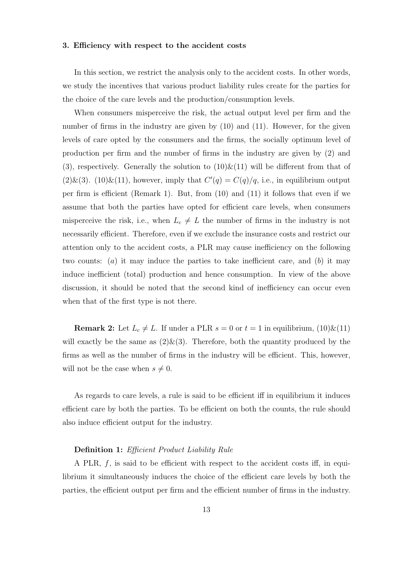#### 3. Efficiency with respect to the accident costs

In this section, we restrict the analysis only to the accident costs. In other words, we study the incentives that various product liability rules create for the parties for the choice of the care levels and the production/consumption levels.

When consumers misperceive the risk, the actual output level per firm and the number of firms in the industry are given by  $(10)$  and  $(11)$ . However, for the given levels of care opted by the consumers and the firms, the socially optimum level of production per firm and the number of firms in the industry are given by (2) and (3), respectively. Generally the solution to  $(10) \& (11)$  will be different from that of  $(2) \& (3)$ .  $(10) \& (11)$ , however, imply that  $C'(q) = C(q)/q$ , i.e., in equilibrium output per firm is efficient (Remark 1). But, from (10) and (11) it follows that even if we assume that both the parties have opted for efficient care levels, when consumers misperceive the risk, i.e., when  $L_c \neq L$  the number of firms in the industry is not necessarily efficient. Therefore, even if we exclude the insurance costs and restrict our attention only to the accident costs, a PLR may cause inefficiency on the following two counts: (a) it may induce the parties to take inefficient care, and (b) it may induce inefficient (total) production and hence consumption. In view of the above discussion, it should be noted that the second kind of inefficiency can occur even when that of the first type is not there.

**Remark 2:** Let  $L_c \neq L$ . If under a PLR  $s = 0$  or  $t = 1$  in equilibrium,  $(10) \& (11)$ will exactly be the same as  $(2) \& (3)$ . Therefore, both the quantity produced by the firms as well as the number of firms in the industry will be efficient. This, however, will not be the case when  $s \neq 0$ .

As regards to care levels, a rule is said to be efficient iff in equilibrium it induces efficient care by both the parties. To be efficient on both the counts, the rule should also induce efficient output for the industry.

#### Definition 1: Efficient Product Liability Rule

A PLR,  $f$ , is said to be efficient with respect to the accident costs iff, in equilibrium it simultaneously induces the choice of the efficient care levels by both the parties, the efficient output per firm and the efficient number of firms in the industry.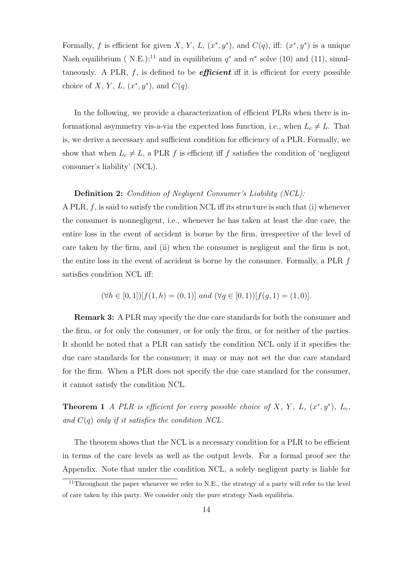Formally, f is efficient for given X, Y, L,  $(x^*, y^*)$ , and  $C(q)$ , iff:  $(x^*, y^*)$  is a unique Nash equilibrium ( N.E.);<sup>11</sup> and in equilibrium  $q^*$  and  $n^*$  solve (10) and (11), simultaneously. A PLR,  $f$ , is defined to be *efficient* iff it is efficient for every possible choice of X, Y, L,  $(x^*, y^*)$ , and  $C(q)$ .

In the following, we provide a characterization of efficient PLRs when there is informational asymmetry vis-a-via the expected loss function, i.e., when  $L_c \neq L$ . That is, we derive a necessary and sufficient condition for efficiency of a PLR. Formally, we show that when  $L_c \neq L$ , a PLR f is efficient iff f satisfies the condition of 'negligent consumer's liability' (NCL).

#### Definition 2: Condition of Negligent Consumer's Liability (NCL):

A PLR,  $f$ , is said to satisfy the condition NCL iff its structure is such that (i) whenever the consumer is nonnegligent, i.e., whenever he has taken at least the due care, the entire loss in the event of accident is borne by the firm, irrespective of the level of care taken by the firm, and (ii) when the consumer is negligent and the firm is not, the entire loss in the event of accident is borne by the consumer. Formally, a PLR f satisfies condition NCL iff:

$$
(\forall h \in [0, 1])[f(1, h) = (0, 1)] \text{ and } (\forall g \in [0, 1))[f(g, 1) = (1, 0)].
$$

Remark 3: A PLR may specify the due care standards for both the consumer and the firm, or for only the consumer, or for only the firm, or for neither of the parties. It should be noted that a PLR can satisfy the condition NCL only if it specifies the due care standards for the consumer; it may or may not set the due care standard for the firm. When a PLR does not specify the due care standard for the consumer, it cannot satisfy the condition NCL.

**Theorem 1** A PLR is efficient for every possible choice of X, Y, L,  $(x^*, y^*)$ , L<sub>c</sub>, and  $C(q)$  only if it satisfies the condition NCL.

The theorem shows that the NCL is a necessary condition for a PLR to be efficient in terms of the care levels as well as the output levels. For a formal proof see the Appendix. Note that under the condition NCL, a solely negligent party is liable for

<sup>&</sup>lt;sup>11</sup>Throughout the paper whenever we refer to N.E., the strategy of a party will refer to the level of care taken by this party. We consider only the pure strategy Nash equilibria.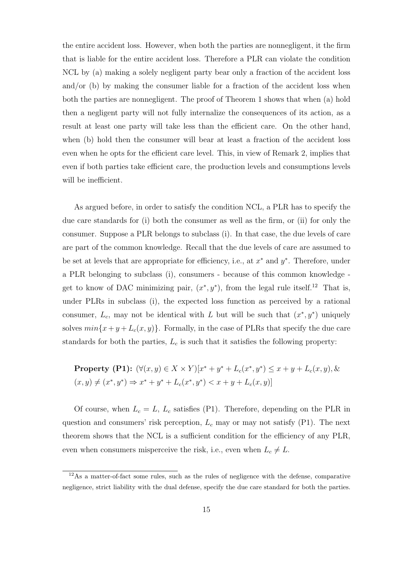the entire accident loss. However, when both the parties are nonnegligent, it the firm that is liable for the entire accident loss. Therefore a PLR can violate the condition NCL by (a) making a solely negligent party bear only a fraction of the accident loss and/or (b) by making the consumer liable for a fraction of the accident loss when both the parties are nonnegligent. The proof of Theorem 1 shows that when (a) hold then a negligent party will not fully internalize the consequences of its action, as a result at least one party will take less than the efficient care. On the other hand, when (b) hold then the consumer will bear at least a fraction of the accident loss even when he opts for the efficient care level. This, in view of Remark 2, implies that even if both parties take efficient care, the production levels and consumptions levels will be inefficient.

As argued before, in order to satisfy the condition NCL, a PLR has to specify the due care standards for (i) both the consumer as well as the firm, or (ii) for only the consumer. Suppose a PLR belongs to subclass (i). In that case, the due levels of care are part of the common knowledge. Recall that the due levels of care are assumed to be set at levels that are appropriate for efficiency, i.e., at  $x^*$  and  $y^*$ . Therefore, under a PLR belonging to subclass (i), consumers - because of this common knowledge get to know of DAC minimizing pair,  $(x^*, y^*)$ , from the legal rule itself.<sup>12</sup> That is, under PLRs in subclass (i), the expected loss function as perceived by a rational consumer,  $L_c$ , may not be identical with L but will be such that  $(x^*, y^*)$  uniquely solves  $min\{x+y+L_c(x,y)\}.$  Formally, in the case of PLRs that specify the due care standards for both the parties,  $L_c$  is such that it satisfies the following property:

**Property (P1):** 
$$
(\forall (x, y) \in X \times Y)[x^* + y^* + L_c(x^*, y^*) \le x + y + L_c(x, y), \&
$$
  
 $(x, y) \ne (x^*, y^*) \Rightarrow x^* + y^* + L_c(x^*, y^*) < x + y + L_c(x, y)]$ 

Of course, when  $L_c = L$ ,  $L_c$  satisfies (P1). Therefore, depending on the PLR in question and consumers' risk perception,  $L_c$  may or may not satisfy (P1). The next theorem shows that the NCL is a sufficient condition for the efficiency of any PLR, even when consumers misperceive the risk, i.e., even when  $L_c \neq L$ .

<sup>&</sup>lt;sup>12</sup>As a matter-of-fact some rules, such as the rules of negligence with the defense, comparative negligence, strict liability with the dual defense, specify the due care standard for both the parties.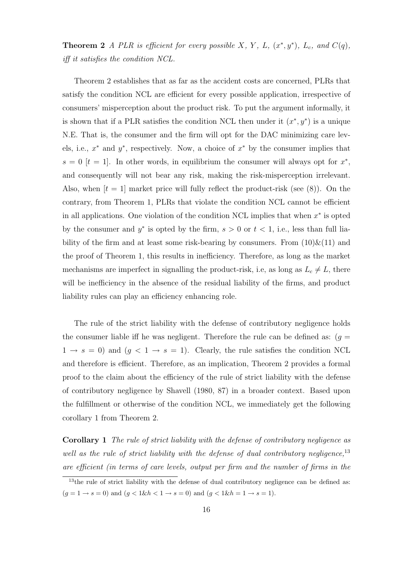**Theorem 2** A PLR is efficient for every possible X, Y, L,  $(x^*, y^*)$ , L<sub>c</sub>, and  $C(q)$ , iff it satisfies the condition NCL.

Theorem 2 establishes that as far as the accident costs are concerned, PLRs that satisfy the condition NCL are efficient for every possible application, irrespective of consumers' misperception about the product risk. To put the argument informally, it is shown that if a PLR satisfies the condition NCL then under it  $(x^*, y^*)$  is a unique N.E. That is, the consumer and the firm will opt for the DAC minimizing care levels, i.e.,  $x^*$  and  $y^*$ , respectively. Now, a choice of  $x^*$  by the consumer implies that  $s = 0$  [t = 1]. In other words, in equilibrium the consumer will always opt for  $x^*$ , and consequently will not bear any risk, making the risk-misperception irrelevant. Also, when  $[t = 1]$  market price will fully reflect the product-risk (see (8)). On the contrary, from Theorem 1, PLRs that violate the condition NCL cannot be efficient in all applications. One violation of the condition NCL implies that when  $x^*$  is opted by the consumer and  $y^*$  is opted by the firm,  $s > 0$  or  $t < 1$ , i.e., less than full liability of the firm and at least some risk-bearing by consumers. From  $(10)\&(11)$  and the proof of Theorem 1, this results in inefficiency. Therefore, as long as the market mechanisms are imperfect in signalling the product-risk, i.e, as long as  $L_c \neq L$ , there will be inefficiency in the absence of the residual liability of the firms, and product liability rules can play an efficiency enhancing role.

The rule of the strict liability with the defense of contributory negligence holds the consumer liable iff he was negligent. Therefore the rule can be defined as:  $(g =$  $1 \rightarrow s = 0$ ) and  $(g < 1 \rightarrow s = 1)$ . Clearly, the rule satisfies the condition NCL and therefore is efficient. Therefore, as an implication, Theorem 2 provides a formal proof to the claim about the efficiency of the rule of strict liability with the defense of contributory negligence by Shavell (1980, 87) in a broader context. Based upon the fulfillment or otherwise of the condition NCL, we immediately get the following corollary 1 from Theorem 2.

Corollary 1 The rule of strict liability with the defense of contributory negligence as well as the rule of strict liability with the defense of dual contributory negligence, $^{13}$ are efficient (in terms of care levels, output per firm and the number of firms in the

<sup>&</sup>lt;sup>13</sup>the rule of strict liability with the defense of dual contributory negligence can be defined as:  $(g = 1 \rightarrow s = 0)$  and  $(g < 1 \& h < 1 \rightarrow s = 0)$  and  $(g < 1 \& h = 1 \rightarrow s = 1)$ .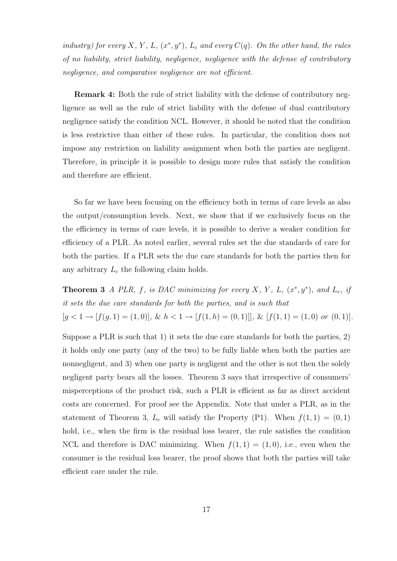industry) for every X, Y, L,  $(x^*, y^*)$ , L<sub>c</sub> and every  $C(q)$ . On the other hand, the rules of no liability, strict liability, negligence, negligence with the defense of contributory negligence, and comparative negligence are not efficient.

Remark 4: Both the rule of strict liability with the defense of contributory negligence as well as the rule of strict liability with the defense of dual contributory negligence satisfy the condition NCL. However, it should be noted that the condition is less restrictive than either of these rules. In particular, the condition does not impose any restriction on liability assignment when both the parties are negligent. Therefore, in principle it is possible to design more rules that satisfy the condition and therefore are efficient.

So far we have been focusing on the efficiency both in terms of care levels as also the output/consumption levels. Next, we show that if we exclusively focus on the the efficiency in terms of care levels, it is possible to derive a weaker condition for efficiency of a PLR. As noted earlier, several rules set the due standards of care for both the parties. If a PLR sets the due care standards for both the parties then for any arbitrary  $L_c$  the following claim holds.

**Theorem 3** A PLR, f, is DAC minimizing for every X, Y, L,  $(x^*, y^*)$ , and L<sub>c</sub>, if it sets the due care standards for both the parties, and is such that  $[g < 1 \rightarrow [f(g, 1) = (1, 0)], \& h < 1 \rightarrow [f(1, h) = (0, 1)]], \& [f(1, 1) = (1, 0) \text{ or } (0, 1)].$ 

Suppose a PLR is such that 1) it sets the due care standards for both the parties, 2) it holds only one party (any of the two) to be fully liable when both the parties are nonnegligent, and 3) when one party is negligent and the other is not then the solely negligent party bears all the losses. Theorem 3 says that irrespective of consumers' misperceptions of the product risk, such a PLR is efficient as far as direct accident costs are concerned. For proof see the Appendix. Note that under a PLR, as in the statement of Theorem 3,  $L_c$  will satisfy the Property (P1). When  $f(1, 1) = (0, 1)$ hold, i.e., when the firm is the residual loss bearer, the rule satisfies the condition NCL and therefore is DAC minimizing. When  $f(1, 1) = (1, 0)$ , i.e., even when the consumer is the residual loss bearer, the proof shows that both the parties will take efficient care under the rule.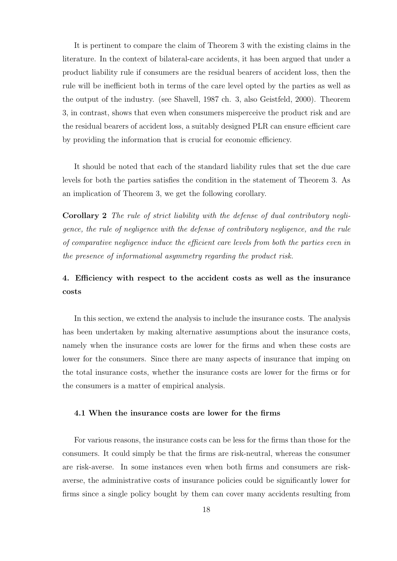It is pertinent to compare the claim of Theorem 3 with the existing claims in the literature. In the context of bilateral-care accidents, it has been argued that under a product liability rule if consumers are the residual bearers of accident loss, then the rule will be inefficient both in terms of the care level opted by the parties as well as the output of the industry. (see Shavell, 1987 ch. 3, also Geistfeld, 2000). Theorem 3, in contrast, shows that even when consumers misperceive the product risk and are the residual bearers of accident loss, a suitably designed PLR can ensure efficient care by providing the information that is crucial for economic efficiency.

It should be noted that each of the standard liability rules that set the due care levels for both the parties satisfies the condition in the statement of Theorem 3. As an implication of Theorem 3, we get the following corollary.

Corollary 2 The rule of strict liability with the defense of dual contributory negligence, the rule of negligence with the defense of contributory negligence, and the rule of comparative negligence induce the efficient care levels from both the parties even in the presence of informational asymmetry regarding the product risk.

### 4. Efficiency with respect to the accident costs as well as the insurance costs

In this section, we extend the analysis to include the insurance costs. The analysis has been undertaken by making alternative assumptions about the insurance costs, namely when the insurance costs are lower for the firms and when these costs are lower for the consumers. Since there are many aspects of insurance that imping on the total insurance costs, whether the insurance costs are lower for the firms or for the consumers is a matter of empirical analysis.

#### 4.1 When the insurance costs are lower for the firms

For various reasons, the insurance costs can be less for the firms than those for the consumers. It could simply be that the firms are risk-neutral, whereas the consumer are risk-averse. In some instances even when both firms and consumers are riskaverse, the administrative costs of insurance policies could be significantly lower for firms since a single policy bought by them can cover many accidents resulting from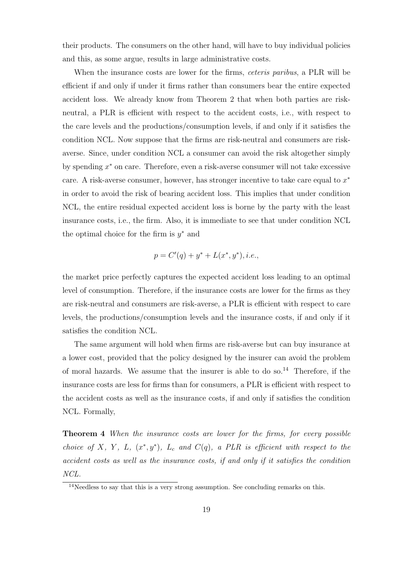their products. The consumers on the other hand, will have to buy individual policies and this, as some argue, results in large administrative costs.

When the insurance costs are lower for the firms, *ceteris paribus*, a PLR will be efficient if and only if under it firms rather than consumers bear the entire expected accident loss. We already know from Theorem 2 that when both parties are riskneutral, a PLR is efficient with respect to the accident costs, i.e., with respect to the care levels and the productions/consumption levels, if and only if it satisfies the condition NCL. Now suppose that the firms are risk-neutral and consumers are riskaverse. Since, under condition NCL a consumer can avoid the risk altogether simply by spending  $x^*$  on care. Therefore, even a risk-averse consumer will not take excessive care. A risk-averse consumer, however, has stronger incentive to take care equal to  $x^*$ in order to avoid the risk of bearing accident loss. This implies that under condition NCL, the entire residual expected accident loss is borne by the party with the least insurance costs, i.e., the firm. Also, it is immediate to see that under condition NCL the optimal choice for the firm is  $y^*$  and

$$
p = C'(q) + y^* + L(x^*, y^*), i.e.,
$$

the market price perfectly captures the expected accident loss leading to an optimal level of consumption. Therefore, if the insurance costs are lower for the firms as they are risk-neutral and consumers are risk-averse, a PLR is efficient with respect to care levels, the productions/consumption levels and the insurance costs, if and only if it satisfies the condition NCL.

The same argument will hold when firms are risk-averse but can buy insurance at a lower cost, provided that the policy designed by the insurer can avoid the problem of moral hazards. We assume that the insurer is able to do so.<sup>14</sup> Therefore, if the insurance costs are less for firms than for consumers, a PLR is efficient with respect to the accident costs as well as the insurance costs, if and only if satisfies the condition NCL. Formally,

Theorem 4 When the insurance costs are lower for the firms, for every possible choice of X, Y, L,  $(x^*, y^*)$ , L<sub>c</sub> and C(q), a PLR is efficient with respect to the accident costs as well as the insurance costs, if and only if it satisfies the condition NCL.

<sup>&</sup>lt;sup>14</sup>Needless to say that this is a very strong assumption. See concluding remarks on this.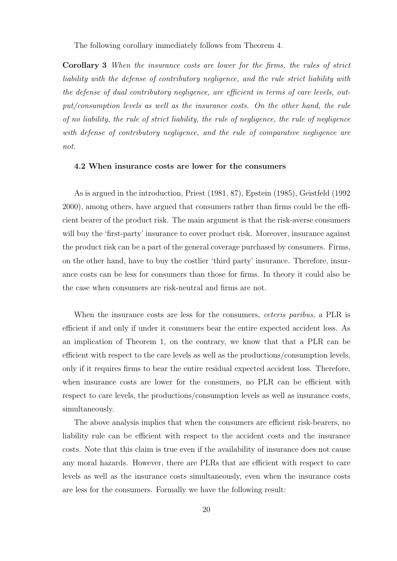The following corollary immediately follows from Theorem 4.

Corollary 3 When the insurance costs are lower for the firms, the rules of strict liability with the defense of contributory negligence, and the rule strict liability with the defense of dual contributory negligence, are efficient in terms of care levels, output/consumption levels as well as the insurance costs. On the other hand, the rule of no liability, the rule of strict liability, the rule of negligence, the rule of negligence with defense of contributory negligence, and the rule of comparative negligence are not.

#### 4.2 When insurance costs are lower for the consumers

As is argued in the introduction, Priest (1981, 87), Epstein (1985), Geistfeld (1992 2000), among others, have argued that consumers rather than firms could be the efficient bearer of the product risk. The main argument is that the risk-averse consumers will buy the 'first-party' insurance to cover product risk. Moreover, insurance against the product risk can be a part of the general coverage purchased by consumers. Firms, on the other hand, have to buy the costlier 'third party' insurance. Therefore, insurance costs can be less for consumers than those for firms. In theory it could also be the case when consumers are risk-neutral and firms are not.

When the insurance costs are less for the consumers, *ceteris paribus*, a PLR is efficient if and only if under it consumers bear the entire expected accident loss. As an implication of Theorem 1, on the contrary, we know that that a PLR can be efficient with respect to the care levels as well as the productions/consumption levels, only if it requires firms to bear the entire residual expected accident loss. Therefore, when insurance costs are lower for the consumers, no PLR can be efficient with respect to care levels, the productions/consumption levels as well as insurance costs, simultaneously.

The above analysis implies that when the consumers are efficient risk-bearers, no liability rule can be efficient with respect to the accident costs and the insurance costs. Note that this claim is true even if the availability of insurance does not cause any moral hazards. However, there are PLRs that are efficient with respect to care levels as well as the insurance costs simultaneously, even when the insurance costs are less for the consumers. Formally we have the following result: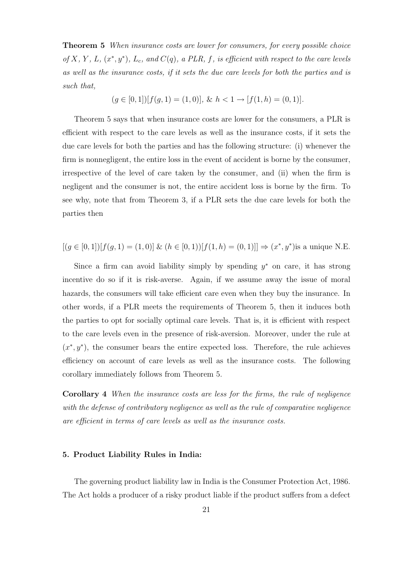**Theorem 5** When insurance costs are lower for consumers, for every possible choice of X, Y, L,  $(x^*, y^*)$ , L<sub>c</sub>, and  $C(q)$ , a PLR, f, is efficient with respect to the care levels as well as the insurance costs, if it sets the due care levels for both the parties and is such that,

$$
(g \in [0,1])[f(g,1) = (1,0)], \& h < 1 \rightarrow [f(1,h) = (0,1)].
$$

Theorem 5 says that when insurance costs are lower for the consumers, a PLR is efficient with respect to the care levels as well as the insurance costs, if it sets the due care levels for both the parties and has the following structure: (i) whenever the firm is nonnegligent, the entire loss in the event of accident is borne by the consumer, irrespective of the level of care taken by the consumer, and (ii) when the firm is negligent and the consumer is not, the entire accident loss is borne by the firm. To see why, note that from Theorem 3, if a PLR sets the due care levels for both the parties then

$$
[(g \in [0,1])[f(g,1) = (1,0)] \& (h \in [0,1))[f(1,h) = (0,1)] \Rightarrow (x^*,y^*)\text{is a unique N.E.}
$$

Since a firm can avoid liability simply by spending  $y^*$  on care, it has strong incentive do so if it is risk-averse. Again, if we assume away the issue of moral hazards, the consumers will take efficient care even when they buy the insurance. In other words, if a PLR meets the requirements of Theorem 5, then it induces both the parties to opt for socially optimal care levels. That is, it is efficient with respect to the care levels even in the presence of risk-aversion. Moreover, under the rule at  $(x^*, y^*)$ , the consumer bears the entire expected loss. Therefore, the rule achieves efficiency on account of care levels as well as the insurance costs. The following corollary immediately follows from Theorem 5.

Corollary 4 When the insurance costs are less for the firms, the rule of negligence with the defense of contributory negligence as well as the rule of comparative negligence are efficient in terms of care levels as well as the insurance costs.

#### 5. Product Liability Rules in India:

The governing product liability law in India is the Consumer Protection Act, 1986. The Act holds a producer of a risky product liable if the product suffers from a defect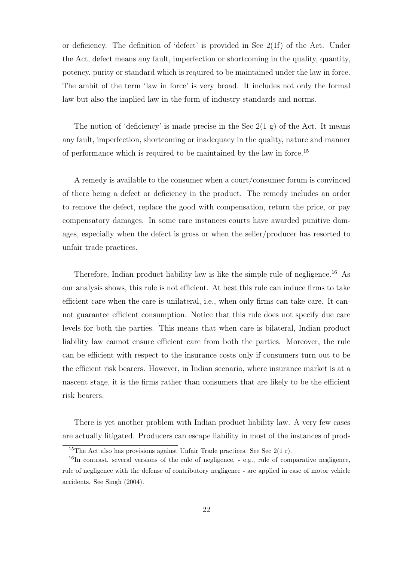or deficiency. The definition of 'defect' is provided in Sec 2(1f) of the Act. Under the Act, defect means any fault, imperfection or shortcoming in the quality, quantity, potency, purity or standard which is required to be maintained under the law in force. The ambit of the term 'law in force' is very broad. It includes not only the formal law but also the implied law in the form of industry standards and norms.

The notion of 'deficiency' is made precise in the Sec  $2(1 g)$  of the Act. It means any fault, imperfection, shortcoming or inadequacy in the quality, nature and manner of performance which is required to be maintained by the law in force.<sup>15</sup>

A remedy is available to the consumer when a court/consumer forum is convinced of there being a defect or deficiency in the product. The remedy includes an order to remove the defect, replace the good with compensation, return the price, or pay compensatory damages. In some rare instances courts have awarded punitive damages, especially when the defect is gross or when the seller/producer has resorted to unfair trade practices.

Therefore, Indian product liability law is like the simple rule of negligence.<sup>16</sup> As our analysis shows, this rule is not efficient. At best this rule can induce firms to take efficient care when the care is unilateral, i.e., when only firms can take care. It cannot guarantee efficient consumption. Notice that this rule does not specify due care levels for both the parties. This means that when care is bilateral, Indian product liability law cannot ensure efficient care from both the parties. Moreover, the rule can be efficient with respect to the insurance costs only if consumers turn out to be the efficient risk bearers. However, in Indian scenario, where insurance market is at a nascent stage, it is the firms rather than consumers that are likely to be the efficient risk bearers.

There is yet another problem with Indian product liability law. A very few cases are actually litigated. Producers can escape liability in most of the instances of prod-

<sup>&</sup>lt;sup>15</sup>The Act also has provisions against Unfair Trade practices. See Sec  $2(1 r)$ .

<sup>&</sup>lt;sup>16</sup>In contrast, several versions of the rule of negligence, - e.g., rule of comparative negligence, rule of negligence with the defense of contributory negligence - are applied in case of motor vehicle accidents. See Singh (2004).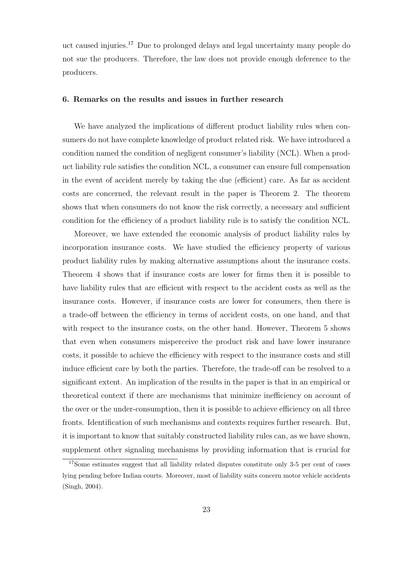uct caused injuries.<sup>17</sup> Due to prolonged delays and legal uncertainty many people do not sue the producers. Therefore, the law does not provide enough deference to the producers.

#### 6. Remarks on the results and issues in further research

We have analyzed the implications of different product liability rules when consumers do not have complete knowledge of product related risk. We have introduced a condition named the condition of negligent consumer's liability (NCL). When a product liability rule satisfies the condition NCL, a consumer can ensure full compensation in the event of accident merely by taking the due (efficient) care. As far as accident costs are concerned, the relevant result in the paper is Theorem 2. The theorem shows that when consumers do not know the risk correctly, a necessary and sufficient condition for the efficiency of a product liability rule is to satisfy the condition NCL.

Moreover, we have extended the economic analysis of product liability rules by incorporation insurance costs. We have studied the efficiency property of various product liability rules by making alternative assumptions about the insurance costs. Theorem 4 shows that if insurance costs are lower for firms then it is possible to have liability rules that are efficient with respect to the accident costs as well as the insurance costs. However, if insurance costs are lower for consumers, then there is a trade-off between the efficiency in terms of accident costs, on one hand, and that with respect to the insurance costs, on the other hand. However, Theorem 5 shows that even when consumers misperceive the product risk and have lower insurance costs, it possible to achieve the efficiency with respect to the insurance costs and still induce efficient care by both the parties. Therefore, the trade-off can be resolved to a significant extent. An implication of the results in the paper is that in an empirical or theoretical context if there are mechanisms that minimize inefficiency on account of the over or the under-consumption, then it is possible to achieve efficiency on all three fronts. Identification of such mechanisms and contexts requires further research. But, it is important to know that suitably constructed liability rules can, as we have shown, supplement other signaling mechanisms by providing information that is crucial for

<sup>&</sup>lt;sup>17</sup>Some estimates suggest that all liability related disputes constitute only 3-5 per cent of cases lying pending before Indian courts. Moreover, most of liability suits concern motor vehicle accidents (Singh, 2004).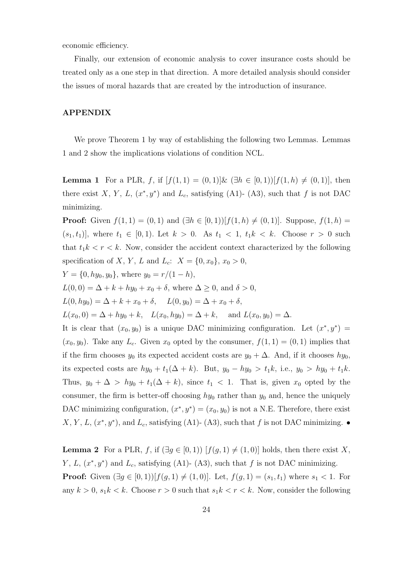economic efficiency.

Finally, our extension of economic analysis to cover insurance costs should be treated only as a one step in that direction. A more detailed analysis should consider the issues of moral hazards that are created by the introduction of insurance.

#### APPENDIX

We prove Theorem 1 by way of establishing the following two Lemmas. Lemmas 1 and 2 show the implications violations of condition NCL.

**Lemma 1** For a PLR, f, if  $[f(1,1) = (0,1)]\&$   $(\exists h \in [0,1))[f(1,h) \neq (0,1)]$ , then there exist X, Y, L,  $(x^*, y^*)$  and L<sub>c</sub>, satisfying (A1)- (A3), such that f is not DAC minimizing.

**Proof:** Given  $f(1, 1) = (0, 1)$  and  $(\exists h \in [0, 1))[f(1, h) \neq (0, 1)]$ . Suppose,  $f(1, h) =$  $(s_1, t_1)$ , where  $t_1 \in [0, 1)$ . Let  $k > 0$ . As  $t_1 < 1$ ,  $t_1 k < k$ . Choose  $r > 0$  such that  $t_1k < r < k$ . Now, consider the accident context characterized by the following specification of X, Y, L and L<sub>c</sub>:  $X = \{0, x_0\}, x_0 > 0$ ,

 $Y = \{0, hy_0, y_0\}$ , where  $y_0 = r/(1 - h)$ ,

 $L(0, 0) = \Delta + k + hy_0 + x_0 + \delta$ , where  $\Delta \geq 0$ , and  $\delta > 0$ ,

 $L(0, hy_0) = \Delta + k + x_0 + \delta$ ,  $L(0, y_0) = \Delta + x_0 + \delta$ ,

 $L(x_0, 0) = \Delta + hy_0 + k$ ,  $L(x_0, hy_0) = \Delta + k$ , and  $L(x_0, y_0) = \Delta$ .

It is clear that  $(x_0, y_0)$  is a unique DAC minimizing configuration. Let  $(x^*, y^*)$  =  $(x_0, y_0)$ . Take any  $L_c$ . Given  $x_0$  opted by the consumer,  $f(1, 1) = (0, 1)$  implies that if the firm chooses  $y_0$  its expected accident costs are  $y_0 + \Delta$ . And, if it chooses  $hy_0$ , its expected costs are  $hy_0 + t_1(\Delta + k)$ . But,  $y_0 - hy_0 > t_1k$ , i.e.,  $y_0 > hy_0 + t_1k$ . Thus,  $y_0 + \Delta > hy_0 + t_1(\Delta + k)$ , since  $t_1 < 1$ . That is, given  $x_0$  opted by the consumer, the firm is better-off choosing  $hy_0$  rather than  $y_0$  and, hence the uniquely DAC minimizing configuration,  $(x^*, y^*) = (x_0, y_0)$  is not a N.E. Therefore, there exist X, Y, L,  $(x^*, y^*)$ , and L<sub>c</sub>, satisfying (A1)- (A3), such that f is not DAC minimizing.  $\bullet$ 

**Lemma 2** For a PLR, f, if  $(\exists g \in [0,1))$   $[f(g,1) \neq (1,0)]$  holds, then there exist X, Y, L,  $(x^*, y^*)$  and L<sub>c</sub>, satisfying (A1)- (A3), such that f is not DAC minimizing. **Proof:** Given  $(\exists g \in [0,1))[f(g,1) \neq (1,0)]$ . Let,  $f(g,1) = (s_1, t_1)$  where  $s_1 < 1$ . For any  $k > 0$ ,  $s_1 k < k$ . Choose  $r > 0$  such that  $s_1 k < r < k$ . Now, consider the following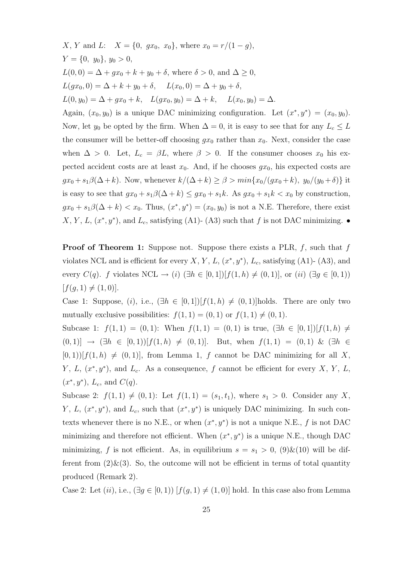X, Y and L:  $X = \{0, gx_0, x_0\}$ , where  $x_0 = r/(1 - g)$ ,  $Y = \{0, y_0\}, y_0 > 0,$  $L(0, 0) = \Delta + gx_0 + k + y_0 + \delta$ , where  $\delta > 0$ , and  $\Delta \geq 0$ ,  $L(gx_0, 0) = \Delta + k + y_0 + \delta$ ,  $L(x_0, 0) = \Delta + y_0 + \delta$ ,  $L(0, y_0) = \Delta + gx_0 + k$ ,  $L(gx_0, y_0) = \Delta + k$ ,  $L(x_0, y_0) = \Delta$ . Again,  $(x_0, y_0)$  is a unique DAC minimizing configuration. Let  $(x^*, y^*) = (x_0, y_0)$ . Now, let  $y_0$  be opted by the firm. When  $\Delta = 0$ , it is easy to see that for any  $L_c \leq L$ the consumer will be better-off choosing  $gx_0$  rather than  $x_0$ . Next, consider the case when  $\Delta > 0$ . Let,  $L_c = \beta L$ , where  $\beta > 0$ . If the consumer chooses  $x_0$  his expected accident costs are at least  $x_0$ . And, if he chooses  $gx_0$ , his expected costs are  $gx_0 + s_1\beta(\Delta + k)$ . Now, whenever  $k/(\Delta + k) \geq \beta > min\{x_0/(gx_0 + k), y_0/(y_0 + \delta)\}\)$  it is easy to see that  $gx_0 + s_1\beta(\Delta + k) \leq gx_0 + s_1k$ . As  $gx_0 + s_1k < x_0$  by construction,  $gx_0 + s_1\beta(\Delta + k) < x_0$ . Thus,  $(x^*, y^*) = (x_0, y_0)$  is not a N.E. Therefore, there exist X, Y, L,  $(x^*, y^*)$ , and L<sub>c</sub>, satisfying (A1)- (A3) such that f is not DAC minimizing.  $\bullet$ 

**Proof of Theorem 1:** Suppose not. Suppose there exists a PLR,  $f$ , such that  $f$ violates NCL and is efficient for every  $X, Y, L, (x^*, y^*)$ ,  $L_c$ , satisfying (A1)- (A3), and every  $C(q)$ . f violates NCL  $\rightarrow (i)$  ( $\exists h \in [0,1]$ )[ $f(1,h) \neq (0,1)$ ], or  $(ii)$  ( $\exists g \in [0,1)$ )  $[f(q, 1) \neq (1, 0)].$ 

Case 1: Suppose, (i), i.e.,  $(\exists h \in [0,1]) [f(1,h) \neq (0,1)]$ holds. There are only two mutually exclusive possibilities:  $f(1, 1) = (0, 1)$  or  $f(1, 1) \neq (0, 1)$ .

Subcase 1:  $f(1,1) = (0,1)$ : When  $f(1,1) = (0,1)$  is true,  $(\exists h \in [0,1]) [f(1,h) \neq$  $(0, 1)$ ] →  $(\exists h \in [0, 1))$   $[f(1, h) \neq (0, 1)]$ . But, when  $f(1, 1) = (0, 1)$  &  $(\exists h \in [0, 1))$  $[0, 1)$ ] $[f(1, h) \neq (0, 1)]$ , from Lemma 1, f cannot be DAC minimizing for all X, Y, L,  $(x^*, y^*)$ , and L<sub>c</sub>. As a consequence, f cannot be efficient for every X, Y, L,  $(x^*, y^*), L_c$ , and  $C(q)$ .

Subcase 2:  $f(1, 1) \neq (0, 1)$ : Let  $f(1, 1) = (s_1, t_1)$ , where  $s_1 > 0$ . Consider any X, Y, L,  $(x^*, y^*)$ , and L<sub>c</sub>, such that  $(x^*, y^*)$  is uniquely DAC minimizing. In such contexts whenever there is no N.E., or when  $(x^*, y^*)$  is not a unique N.E., f is not DAC minimizing and therefore not efficient. When  $(x^*, y^*)$  is a unique N.E., though DAC minimizing, f is not efficient. As, in equilibrium  $s = s_1 > 0$ ,  $(9) \& (10)$  will be different from  $(2)\&(3)$ . So, the outcome will not be efficient in terms of total quantity produced (Remark 2).

Case 2: Let  $(ii)$ , i.e.,  $(\exists g \in [0,1))$   $[f(g,1) \neq (1,0)]$  hold. In this case also from Lemma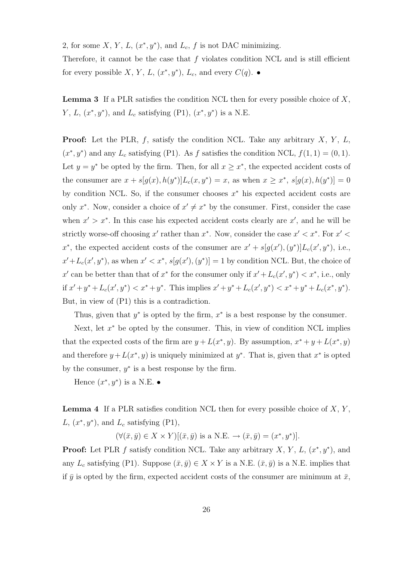2, for some X, Y, L,  $(x^*, y^*)$ , and L<sub>c</sub>, f is not DAC minimizing.

Therefore, it cannot be the case that  $f$  violates condition NCL and is still efficient for every possible X, Y, L,  $(x^*, y^*)$ , L<sub>c</sub>, and every  $C(q)$ .  $\bullet$ 

**Lemma 3** If a PLR satisfies the condition NCL then for every possible choice of  $X$ ,  $Y, L, (x^*, y^*)$ , and  $L_c$  satisfying (P1),  $(x^*, y^*)$  is a N.E.

**Proof:** Let the PLR,  $f$ , satisfy the condition NCL. Take any arbitrary  $X$ ,  $Y$ ,  $L$ ,  $(x^*, y^*)$  and any  $L_c$  satisfying (P1). As f satisfies the condition NCL,  $f(1, 1) = (0, 1)$ . Let  $y = y^*$  be opted by the firm. Then, for all  $x \geq x^*$ , the expected accident costs of the consumer are  $x + s[g(x), h(y^*)]L_c(x, y^*) = x$ , as when  $x \geq x^*$ ,  $s[g(x), h(y^*)] = 0$ by condition NCL. So, if the consumer chooses  $x^*$  his expected accident costs are only  $x^*$ . Now, consider a choice of  $x' \neq x^*$  by the consumer. First, consider the case when  $x' > x^*$ . In this case his expected accident costs clearly are  $x'$ , and he will be strictly worse-off choosing x' rather than  $x^*$ . Now, consider the case  $x' < x^*$ . For  $x' <$ x<sup>\*</sup>, the expected accident costs of the consumer are  $x' + s[g(x'), (y^*)]L_c(x', y^*)$ , i.e.,  $x' + L_c(x', y^*)$ , as when  $x' < x^*$ ,  $s[g(x'), (y^*)] = 1$  by condition NCL. But, the choice of x' can be better than that of  $x^*$  for the consumer only if  $x' + L_c(x', y^*) < x^*$ , i.e., only if  $x' + y^* + L_c(x', y^*) < x^* + y^*$ . This implies  $x' + y^* + L_c(x', y^*) < x^* + y^* + L_c(x^*, y^*)$ . But, in view of (P1) this is a contradiction.

Thus, given that  $y^*$  is opted by the firm,  $x^*$  is a best response by the consumer.

Next, let  $x^*$  be opted by the consumer. This, in view of condition NCL implies that the expected costs of the firm are  $y + L(x^*, y)$ . By assumption,  $x^* + y + L(x^*, y)$ and therefore  $y + L(x^*, y)$  is uniquely minimized at  $y^*$ . That is, given that  $x^*$  is opted by the consumer,  $y^*$  is a best response by the firm.

Hence  $(x^*, y^*)$  is a N.E.  $\bullet$ 

**Lemma 4** If a PLR satisfies condition NCL then for every possible choice of  $X, Y$ , L,  $(x^*, y^*)$ , and L<sub>c</sub> satisfying (P1),

 $(\forall (\bar{x}, \bar{y}) \in X \times Y)[(\bar{x}, \bar{y}) \text{ is a N.E.} \rightarrow (\bar{x}, \bar{y}) = (x^*, y^*)].$ 

**Proof:** Let PLR f satisfy condition NCL. Take any arbitrary  $X, Y, L, (x^*, y^*)$ , and any  $L_c$  satisfying (P1). Suppose  $(\bar{x}, \bar{y}) \in X \times Y$  is a N.E.  $(\bar{x}, \bar{y})$  is a N.E. implies that if  $\bar{y}$  is opted by the firm, expected accident costs of the consumer are minimum at  $\bar{x}$ ,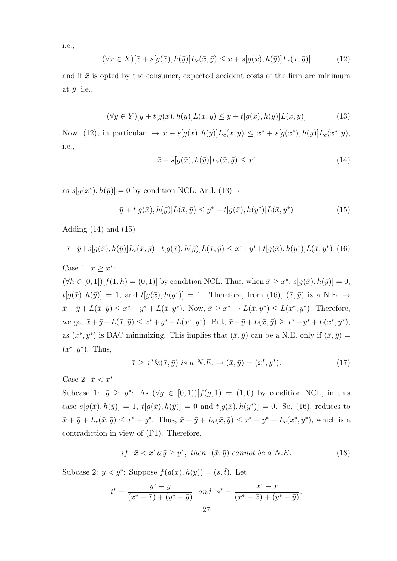i.e.,

$$
(\forall x \in X)[\bar{x} + s[g(\bar{x}), h(\bar{y})]L_c(\bar{x}, \bar{y}) \le x + s[g(x), h(\bar{y})]L_c(x, \bar{y})]
$$
(12)

and if  $\bar{x}$  is opted by the consumer, expected accident costs of the firm are minimum at  $\bar{y}$ , i.e.,

$$
(\forall y \in Y)[\overline{y} + t[g(\overline{x}), h(\overline{y})]L(\overline{x}, \overline{y}) \le y + t[g(\overline{x}), h(y)]L(\overline{x}, y)] \tag{13}
$$

Now, (12), in particular,  $\rightarrow \bar{x} + s[g(\bar{x}), h(\bar{y})]L_c(\bar{x}, \bar{y}) \leq x^* + s[g(x^*), h(\bar{y})]L_c(x^*, \bar{y}),$ i.e.,

$$
\bar{x} + s[g(\bar{x}), h(\bar{y})]L_c(\bar{x}, \bar{y}) \le x^*
$$
\n(14)

as  $s[g(x^*), h(\bar{y})] = 0$  by condition NCL. And,  $(13) \rightarrow$ 

$$
\bar{y} + t[g(\bar{x}), h(\bar{y})]L(\bar{x}, \bar{y}) \le y^* + t[g(\bar{x}), h(y^*)]L(\bar{x}, y^*)
$$
\n(15)

Adding  $(14)$  and  $(15)$ 

$$
\bar{x} + \bar{y} + s[g(\bar{x}), h(\bar{y})]L_c(\bar{x}, \bar{y}) + t[g(\bar{x}), h(\bar{y})]L(\bar{x}, \bar{y}) \leq x^* + y^* + t[g(\bar{x}), h(y^*)]L(\bar{x}, y^*) \tag{16}
$$

Case 1:  $\bar{x} \geq x^*$ :

 $(\forall h \in [0,1]) [f(1,h) = (0,1)]$  by condition NCL. Thus, when  $\bar{x} \geq x^*$ ,  $s[g(\bar{x}), h(\bar{y})] = 0$ ,  $t[g(\bar{x}), h(\bar{y})] = 1$ , and  $t[g(\bar{x}), h(y^*)] = 1$ . Therefore, from (16),  $(\bar{x}, \bar{y})$  is a N.E.  $\rightarrow$  $\bar{x} + \bar{y} + L(\bar{x}, \bar{y}) \leq x^* + y^* + L(\bar{x}, y^*)$ . Now,  $\bar{x} \geq x^* \to L(\bar{x}, y^*) \leq L(x^*, y^*)$ . Therefore, we get  $\bar{x} + \bar{y} + L(\bar{x}, \bar{y}) \leq x^* + y^* + L(x^*, y^*)$ . But,  $\bar{x} + \bar{y} + L(\bar{x}, \bar{y}) \geq x^* + y^* + L(x^*, y^*)$ , as  $(x^*, y^*)$  is DAC minimizing. This implies that  $(\bar{x}, \bar{y})$  can be a N.E. only if  $(\bar{x}, \bar{y})$  =  $(x^*, y^*)$ . Thus,

$$
\bar{x} \ge x^* \& (\bar{x}, \bar{y}) \text{ is a } N.E. \to (\bar{x}, \bar{y}) = (x^*, y^*).
$$
\n(17)

Case 2:  $\bar{x} < x^*$ :

Subcase 1:  $\bar{y} \geq y^*$ : As  $(\forall g \in [0,1))[f(g,1) = (1,0)$  by condition NCL, in this case  $s[g(\bar{x}), h(\bar{y})] = 1$ ,  $t[g(\bar{x}), h(\bar{y})] = 0$  and  $t[g(\bar{x}), h(y^*)] = 0$ . So, (16), reduces to  $\bar{x} + \bar{y} + L_c(\bar{x}, \bar{y}) \leq x^* + y^*$ . Thus,  $\bar{x} + \bar{y} + L_c(\bar{x}, \bar{y}) \leq x^* + y^* + L_c(x^*, y^*)$ , which is a contradiction in view of (P1). Therefore,

$$
if \ \ \bar{x} < x^* \& \bar{y} \ge y^*, \ then \ \ (\bar{x}, \bar{y}) \ cannot \ be \ a \ N.E. \tag{18}
$$

Subcase 2:  $\bar{y} < y^*$ : Suppose  $f(g(\bar{x}), h(\bar{y})) = (\bar{s}, \bar{t})$ . Let

$$
t^* = \frac{y^* - \bar{y}}{(x^* - \bar{x}) + (y^* - \bar{y})} \quad and \quad s^* = \frac{x^* - \bar{x}}{(x^* - \bar{x}) + (y^* - \bar{y})}.
$$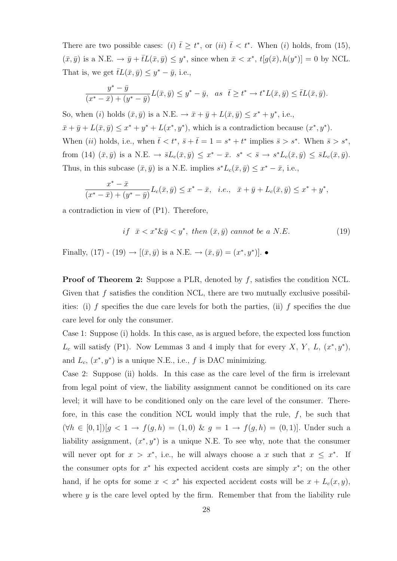There are two possible cases: (i)  $\bar{t} \geq t^*$ , or (ii)  $\bar{t} < t^*$ . When (i) holds, from (15),  $(\bar{x}, \bar{y})$  is a N.E.  $\rightarrow \bar{y} + \bar{t}L(\bar{x}, \bar{y}) \leq y^*$ , since when  $\bar{x} < x^*$ ,  $t[g(\bar{x}), h(y^*)] = 0$  by NCL. That is, we get  $\bar{t}L(\bar{x}, \bar{y}) \leq y^* - \bar{y}$ , i.e.,

$$
\frac{y^* - \bar{y}}{(x^* - \bar{x}) + (y^* - \bar{y})}L(\bar{x}, \bar{y}) \le y^* - \bar{y}, \text{ as } \bar{t} \ge t^* \to t^*L(\bar{x}, \bar{y}) \le \bar{t}L(\bar{x}, \bar{y}).
$$

So, when (i) holds  $(\bar{x}, \bar{y})$  is a N.E.  $\rightarrow \bar{x} + \bar{y} + L(\bar{x}, \bar{y}) \leq x^* + y^*$ , i.e.,  $\bar{x} + \bar{y} + L(\bar{x}, \bar{y}) \leq x^* + y^* + L(x^*, y^*),$  which is a contradiction because  $(x^*, y^*).$ When (ii) holds, i.e., when  $\bar{t} < t^*$ ,  $\bar{s} + \bar{t} = 1 = s^* + t^*$  implies  $\bar{s} > s^*$ . When  $\bar{s} > s^*$ , from (14)  $(\bar{x}, \bar{y})$  is a N.E.  $\rightarrow \bar{s}L_c(\bar{x}, \bar{y}) \leq x^* - \bar{x}$ .  $s^* < \bar{s} \rightarrow s^*L_c(\bar{x}, \bar{y}) \leq \bar{s}L_c(\bar{x}, \bar{y})$ . Thus, in this subcase  $(\bar{x}, \bar{y})$  is a N.E. implies  $s^*L_c(\bar{x}, \bar{y}) \leq x^* - \bar{x}$ , i.e.,

$$
\frac{x^* - \bar{x}}{(x^* - \bar{x}) + (y^* - \bar{y})}L_c(\bar{x}, \bar{y}) \le x^* - \bar{x}, \quad i.e., \quad \bar{x} + \bar{y} + L_c(\bar{x}, \bar{y}) \le x^* + y^*,
$$

a contradiction in view of (P1). Therefore,

$$
if \ \ \bar{x} < x^* \& \bar{y} < y^*, \ then \ (\bar{x}, \bar{y}) \ cannot \ be \ a \ N.E. \tag{19}
$$

Finally, (17) - (19)  $\to$   $[(\bar{x}, \bar{y})$  is a N.E.  $\to$   $(\bar{x}, \bar{y}) = (x^*, y^*)$ .

**Proof of Theorem 2:** Suppose a PLR, denoted by  $f$ , satisfies the condition NCL. Given that  $f$  satisfies the condition NCL, there are two mutually exclusive possibilities: (i) f specifies the due care levels for both the parties, (ii) f specifies the due care level for only the consumer.

Case 1: Suppose (i) holds. In this case, as is argued before, the expected loss function  $L_c$  will satisfy (P1). Now Lemmas 3 and 4 imply that for every X, Y, L,  $(x^*, y^*)$ , and  $L_c$ ,  $(x^*, y^*)$  is a unique N.E., i.e., f is DAC minimizing.

Case 2: Suppose (ii) holds. In this case as the care level of the firm is irrelevant from legal point of view, the liability assignment cannot be conditioned on its care level; it will have to be conditioned only on the care level of the consumer. Therefore, in this case the condition NCL would imply that the rule,  $f$ , be such that (∀ $h \in [0,1]$ )[ $g < 1 \rightarrow f(g,h) = (1,0) \& g = 1 \rightarrow f(g,h) = (0,1)$ ]. Under such a liability assignment,  $(x^*, y^*)$  is a unique N.E. To see why, note that the consumer will never opt for  $x > x^*$ , i.e., he will always choose a x such that  $x \leq x^*$ . If the consumer opts for  $x^*$  his expected accident costs are simply  $x^*$ ; on the other hand, if he opts for some  $x < x^*$  his expected accident costs will be  $x + L_c(x, y)$ , where  $y$  is the care level opted by the firm. Remember that from the liability rule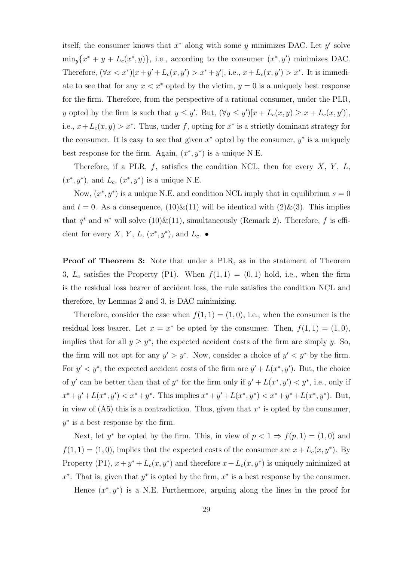itself, the consumer knows that  $x^*$  along with some y minimizes DAC. Let y' solve  $\min_y \{x^* + y + L_c(x^*, y)\}\$ , i.e., according to the consumer  $(x^*, y')$  minimizes DAC. Therefore,  $(\forall x < x^*)[x + y' + L_c(x, y') > x^* + y'],$  i.e.,  $x + L_c(x, y') > x^*$ . It is immediate to see that for any  $x < x^*$  opted by the victim,  $y = 0$  is a uniquely best response for the firm. Therefore, from the perspective of a rational consumer, under the PLR, y opted by the firm is such that  $y \leq y'$ . But,  $(\forall y \leq y') [x + L_c(x, y) \geq x + L_c(x, y')]$ , i.e.,  $x + L_c(x, y) > x^*$ . Thus, under f, opting for  $x^*$  is a strictly dominant strategy for the consumer. It is easy to see that given  $x^*$  opted by the consumer,  $y^*$  is a uniquely best response for the firm. Again,  $(x^*, y^*)$  is a unique N.E.

Therefore, if a PLR,  $f$ , satisfies the condition NCL, then for every  $X$ ,  $Y$ ,  $L$ ,  $(x^*, y^*)$ , and  $L_c$ ,  $(x^*, y^*)$  is a unique N.E.

Now,  $(x^*, y^*)$  is a unique N.E. and condition NCL imply that in equilibrium  $s = 0$ and  $t = 0$ . As a consequence,  $(10) \& (11)$  will be identical with  $(2) \& (3)$ . This implies that  $q^*$  and  $n^*$  will solve (10) & (11), simultaneously (Remark 2). Therefore, f is efficient for every X, Y, L,  $(x^*, y^*)$ , and L<sub>c</sub>.  $\bullet$ 

Proof of Theorem 3: Note that under a PLR, as in the statement of Theorem 3,  $L_c$  satisfies the Property (P1). When  $f(1, 1) = (0, 1)$  hold, i.e., when the firm is the residual loss bearer of accident loss, the rule satisfies the condition NCL and therefore, by Lemmas 2 and 3, is DAC minimizing.

Therefore, consider the case when  $f(1, 1) = (1, 0)$ , i.e., when the consumer is the residual loss bearer. Let  $x = x^*$  be opted by the consumer. Then,  $f(1, 1) = (1, 0)$ , implies that for all  $y \geq y^*$ , the expected accident costs of the firm are simply y. So, the firm will not opt for any  $y' > y^*$ . Now, consider a choice of  $y' < y^*$  by the firm. For  $y' < y^*$ , the expected accident costs of the firm are  $y' + L(x^*, y')$ . But, the choice of y' can be better than that of y<sup>\*</sup> for the firm only if  $y' + L(x^*, y') < y^*$ , i.e., only if  $x^* + y' + L(x^*, y') < x^* + y^*$ . This implies  $x^* + y' + L(x^*, y^*) < x^* + y^* + L(x^*, y^*)$ . But, in view of  $(A5)$  this is a contradiction. Thus, given that  $x^*$  is opted by the consumer,  $y^*$  is a best response by the firm.

Next, let  $y^*$  be opted by the firm. This, in view of  $p < 1 \Rightarrow f(p, 1) = (1, 0)$  and  $f(1, 1) = (1, 0)$ , implies that the expected costs of the consumer are  $x + L_c(x, y^*)$ . By Property (P1),  $x + y^* + L_c(x, y^*)$  and therefore  $x + L_c(x, y^*)$  is uniquely minimized at  $x^*$ . That is, given that  $y^*$  is opted by the firm,  $x^*$  is a best response by the consumer. Hence  $(x^*, y^*)$  is a N.E. Furthermore, arguing along the lines in the proof for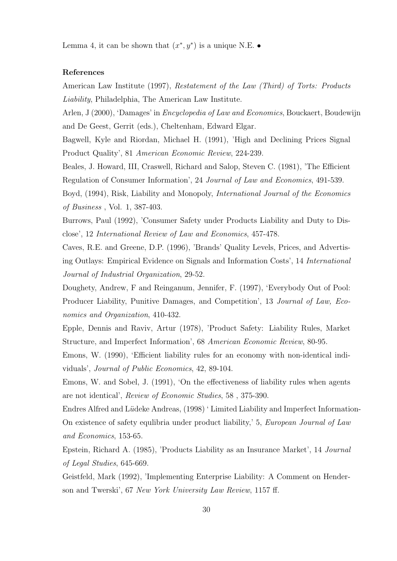Lemma 4, it can be shown that  $(x^*, y^*)$  is a unique N.E.

#### References

American Law Institute (1997), Restatement of the Law (Third) of Torts: Products Liability, Philadelphia, The American Law Institute.

Arlen, J (2000), 'Damages' in Encyclopedia of Law and Economics, Bouckaert, Boudewijn and De Geest, Gerrit (eds.), Cheltenham, Edward Elgar.

Bagwell, Kyle and Riordan, Michael H. (1991), 'High and Declining Prices Signal Product Quality', 81 American Economic Review, 224-239.

Beales, J. Howard, III, Craswell, Richard and Salop, Steven C. (1981), 'The Efficient Regulation of Consumer Information', 24 Journal of Law and Economics, 491-539.

Boyd, (1994), Risk, Liability and Monopoly, International Journal of the Economics of Business , Vol. 1, 387-403.

Burrows, Paul (1992), 'Consumer Safety under Products Liability and Duty to Disclose', 12 International Review of Law and Economics, 457-478.

Caves, R.E. and Greene, D.P. (1996), 'Brands' Quality Levels, Prices, and Advertising Outlays: Empirical Evidence on Signals and Information Costs', 14 International Journal of Industrial Organization, 29-52.

Doughety, Andrew, F and Reinganum, Jennifer, F. (1997), 'Everybody Out of Pool: Producer Liability, Punitive Damages, and Competition', 13 Journal of Law, Economics and Organization, 410-432.

Epple, Dennis and Raviv, Artur (1978), 'Product Safety: Liability Rules, Market Structure, and Imperfect Information', 68 American Economic Review, 80-95.

Emons, W. (1990), 'Efficient liability rules for an economy with non-identical individuals', Journal of Public Economics, 42, 89-104.

Emons, W. and Sobel, J. (1991), 'On the effectiveness of liability rules when agents are not identical', Review of Economic Studies, 58 , 375-390.

Endres Alfred and Lüdeke Andreas, (1998) 'Limited Liability and Imperfect Information-On existence of safety equlibria under product liability,' 5, European Journal of Law and Economics, 153-65.

Epstein, Richard A. (1985), 'Products Liability as an Insurance Market', 14 Journal of Legal Studies, 645-669.

Geistfeld, Mark (1992), 'Implementing Enterprise Liability: A Comment on Henderson and Twerski', 67 New York University Law Review, 1157 ff.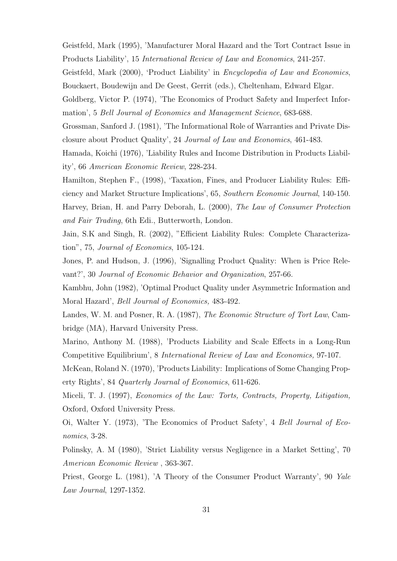Geistfeld, Mark (1995), 'Manufacturer Moral Hazard and the Tort Contract Issue in Products Liability', 15 International Review of Law and Economics, 241-257.

Geistfeld, Mark (2000), 'Product Liability' in Encyclopedia of Law and Economics, Bouckaert, Boudewijn and De Geest, Gerrit (eds.), Cheltenham, Edward Elgar.

Goldberg, Victor P. (1974), 'The Economics of Product Safety and Imperfect Information', 5 Bell Journal of Economics and Management Science, 683-688.

Grossman, Sanford J. (1981), 'The Informational Role of Warranties and Private Disclosure about Product Quality', 24 Journal of Law and Economics, 461-483.

Hamada, Koichi (1976), 'Liability Rules and Income Distribution in Products Liability', 66 American Economic Review, 228-234.

Hamilton, Stephen F., (1998), 'Taxation, Fines, and Producer Liability Rules: Efficiency and Market Structure Implications', 65, Southern Economic Journal, 140-150. Harvey, Brian, H. and Parry Deborah, L. (2000), The Law of Consumer Protection and Fair Trading, 6th Edi., Butterworth, London.

Jain, S.K and Singh, R. (2002), "Efficient Liability Rules: Complete Characterization", 75, Journal of Economics, 105-124.

Jones, P. and Hudson, J. (1996), 'Signalling Product Quality: When is Price Relevant?', 30 Journal of Economic Behavior and Organization, 257-66.

Kambhu, John (1982), 'Optimal Product Quality under Asymmetric Information and Moral Hazard', Bell Journal of Economics, 483-492.

Landes, W. M. and Posner, R. A. (1987), The Economic Structure of Tort Law, Cambridge (MA), Harvard University Press.

Marino, Anthony M. (1988), 'Products Liability and Scale Effects in a Long-Run Competitive Equilibrium', 8 International Review of Law and Economics, 97-107.

McKean, Roland N. (1970), 'Products Liability: Implications of Some Changing Property Rights', 84 Quarterly Journal of Economics, 611-626.

Miceli, T. J. (1997), Economics of the Law: Torts, Contracts, Property, Litigation, Oxford, Oxford University Press.

Oi, Walter Y. (1973), 'The Economics of Product Safety', 4 Bell Journal of Economics, 3-28.

Polinsky, A. M (1980), 'Strict Liability versus Negligence in a Market Setting', 70 American Economic Review , 363-367.

Priest, George L. (1981), 'A Theory of the Consumer Product Warranty', 90 Yale Law Journal, 1297-1352.